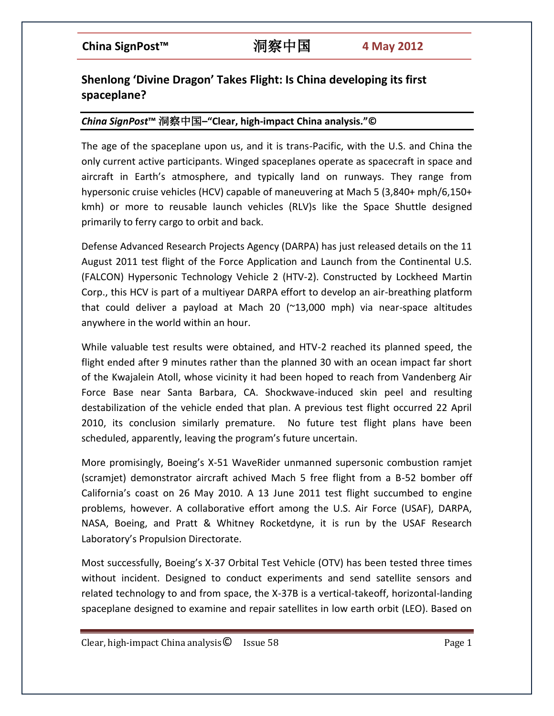# **Shenlong 'Divine Dragon' Takes Flight: Is China developing its first spaceplane?**

## *China SignPost***™** 洞察中国**–"Clear, high-impact China analysis."©**

The age of the spaceplane upon us, and it is trans-Pacific, with the U.S. and China the only current active participants. Winged spaceplanes operate as spacecraft in space and aircraft in Earth's atmosphere, and typically land on runways. They range from hypersonic cruise vehicles (HCV) capable of maneuvering at Mach 5 (3,840+ mph/6,150+ kmh) or more to reusable launch vehicles (RLV)s like the Space Shuttle designed primarily to ferry cargo to orbit and back.

Defense Advanced Research Projects Agency (DARPA) has just released details on the 11 August 2011 test flight of the Force Application and Launch from the Continental U.S. (FALCON) Hypersonic Technology Vehicle 2 (HTV-2). Constructed by Lockheed Martin Corp., this HCV is part of a multiyear DARPA effort to develop an air-breathing platform that could deliver a payload at Mach 20 (~13,000 mph) via near-space altitudes anywhere in the world within an hour.

While valuable test results were obtained, and HTV-2 reached its planned speed, the flight ended after 9 minutes rather than the planned 30 with an ocean impact far short of the Kwajalein Atoll, whose vicinity it had been hoped to reach from Vandenberg Air Force Base near Santa Barbara, CA. Shockwave-induced skin peel and resulting destabilization of the vehicle ended that plan. A previous test flight occurred 22 April 2010, its conclusion similarly premature. No future test flight plans have been scheduled, apparently, leaving the program's future uncertain.

More promisingly, Boeing's X-51 WaveRider unmanned supersonic combustion ramjet (scramjet) demonstrator aircraft achived Mach 5 free flight from a B-52 bomber off California's coast on 26 May 2010. A 13 June 2011 test flight succumbed to engine problems, however. A collaborative effort among the U.S. Air Force (USAF), DARPA, NASA, Boeing, and Pratt & Whitney Rocketdyne, it is run by the USAF Research Laboratory's Propulsion Directorate.

Most successfully, Boeing's X-37 Orbital Test Vehicle (OTV) has been tested three times without incident. Designed to conduct experiments and send satellite sensors and related technology to and from space, the X-37B is a vertical-takeoff, horizontal-landing spaceplane designed to examine and repair satellites in low earth orbit (LEO). Based on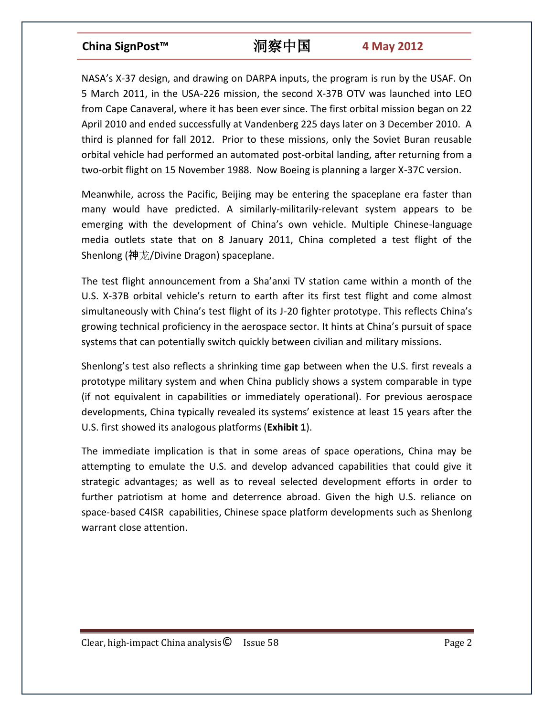NASA's X-37 design, and drawing on DARPA inputs, the program is run by the USAF. On 5 March 2011, in the USA-226 mission, the second X-37B OTV was launched into LEO from Cape Canaveral, where it has been ever since. The first orbital mission began on 22 April 2010 and ended successfully at Vandenberg 225 days later on 3 December 2010. A third is planned for fall 2012. Prior to these missions, only the Soviet Buran reusable orbital vehicle had performed an automated post-orbital landing, after returning from a two-orbit flight on 15 November 1988. Now Boeing is planning a larger X-37C version.

Meanwhile, across the Pacific, Beijing may be entering the spaceplane era faster than many would have predicted. A similarly-militarily-relevant system appears to be emerging with the development of China's own vehicle. Multiple Chinese-language media outlets state that on 8 January 2011, China completed a test flight of the Shenlong (神龙/Divine Dragon) spaceplane.

The test flight announcement from a Sha'anxi TV station came within a month of the U.S. X-37B orbital vehicle's return to earth after its first test flight and come almost simultaneously with China's test flight of its J-20 fighter prototype. This reflects China's growing technical proficiency in the aerospace sector. It hints at China's pursuit of space systems that can potentially switch quickly between civilian and military missions.

Shenlong's test also reflects a shrinking time gap between when the U.S. first reveals a prototype military system and when China publicly shows a system comparable in type (if not equivalent in capabilities or immediately operational). For previous aerospace developments, China typically revealed its systems' existence at least 15 years after the U.S. first showed its analogous platforms (**Exhibit 1**).

The immediate implication is that in some areas of space operations, China may be attempting to emulate the U.S. and develop advanced capabilities that could give it strategic advantages; as well as to reveal selected development efforts in order to further patriotism at home and deterrence abroad. Given the high U.S. reliance on space-based C4ISR capabilities, Chinese space platform developments such as Shenlong warrant close attention.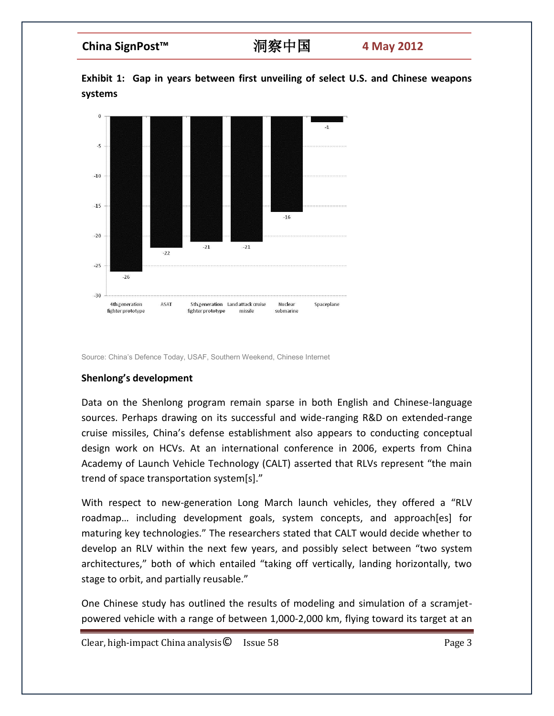**Exhibit 1: Gap in years between first unveiling of select U.S. and Chinese weapons systems**



Source: China's Defence Today, USAF, Southern Weekend, Chinese Internet

### **Shenlong's development**

Data on the Shenlong program remain sparse in both English and Chinese-language sources. Perhaps drawing on its successful and wide-ranging R&D on extended-range cruise missiles, China's defense establishment also appears to conducting conceptual design work on HCVs. At an international conference in 2006, experts from China Academy of Launch Vehicle Technology (CALT) asserted that RLVs represent "the main trend of space transportation system[s]."

With respect to new-generation Long March launch vehicles, they offered a "RLV roadmap… including development goals, system concepts, and approach[es] for maturing key technologies." The researchers stated that CALT would decide whether to develop an RLV within the next few years, and possibly select between "two system architectures," both of which entailed "taking off vertically, landing horizontally, two stage to orbit, and partially reusable."

One Chinese study has outlined the results of modeling and simulation of a scramjetpowered vehicle with a range of between 1,000-2,000 km, flying toward its target at an

Clear, high-impact China analysis **Q** Issue 58 **Page 3 Page 3** Page 3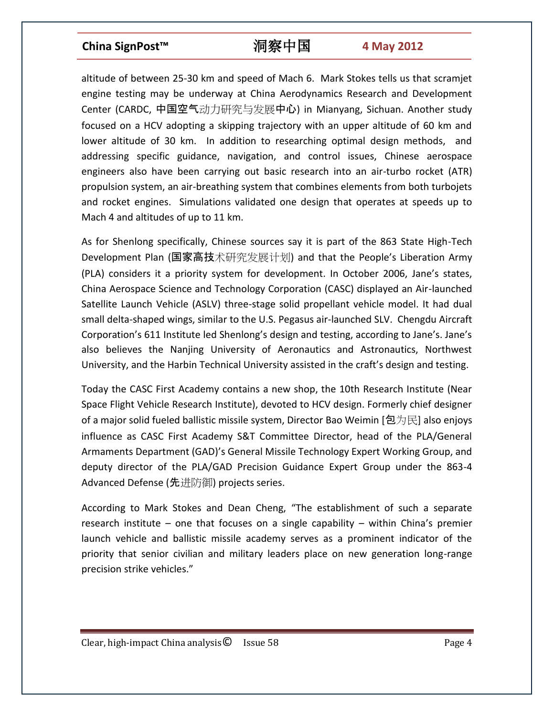altitude of between 25-30 km and speed of Mach 6. Mark Stokes tells us that scramjet engine testing may be underway at China Aerodynamics Research and Development Center (CARDC, 中国空气动力研究与发展中心) in Mianyang, Sichuan. Another study focused on a HCV adopting a skipping trajectory with an upper altitude of 60 km and lower altitude of 30 km. In addition to researching optimal design methods, and addressing specific guidance, navigation, and control issues, Chinese aerospace engineers also have been carrying out basic research into an air-turbo rocket (ATR) propulsion system, an air-breathing system that combines elements from both turbojets and rocket engines. Simulations validated one design that operates at speeds up to Mach 4 and altitudes of up to 11 km.

As for Shenlong specifically, Chinese sources say it is part of the 863 State High-Tech Development Plan (国家高技术研究发展计划) and that the People's Liberation Army (PLA) considers it a priority system for development. In October 2006, Jane's states, China Aerospace Science and Technology Corporation (CASC) displayed an Air-launched Satellite Launch Vehicle (ASLV) three-stage solid propellant vehicle model. It had dual small delta-shaped wings, similar to the U.S. Pegasus air-launched SLV. Chengdu Aircraft Corporation's 611 Institute led Shenlong's design and testing, according to Jane's. Jane's also believes the Nanjing University of Aeronautics and Astronautics, Northwest University, and the Harbin Technical University assisted in the craft's design and testing.

Today the CASC First Academy contains a new shop, the 10th Research Institute (Near Space Flight Vehicle Research Institute), devoted to HCV design. Formerly chief designer of a major solid fueled ballistic missile system, Director Bao Weimin [包为民] also enjoys influence as CASC First Academy S&T Committee Director, head of the PLA/General Armaments Department (GAD)'s General Missile Technology Expert Working Group, and deputy director of the PLA/GAD Precision Guidance Expert Group under the 863-4 Advanced Defense (先进防御) projects series.

According to Mark Stokes and Dean Cheng, "The establishment of such a separate research institute – one that focuses on a single capability – within China's premier launch vehicle and ballistic missile academy serves as a prominent indicator of the priority that senior civilian and military leaders place on new generation long-range precision strike vehicles."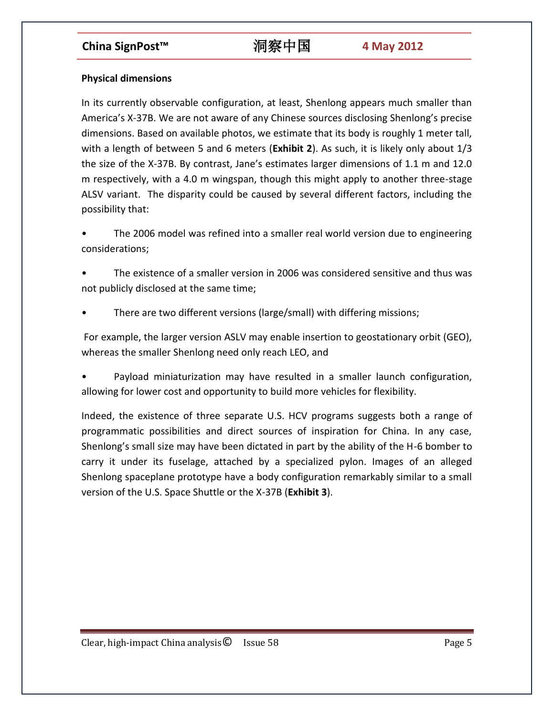## **Physical dimensions**

In its currently observable configuration, at least, Shenlong appears much smaller than America's X-37B. We are not aware of any Chinese sources disclosing Shenlong's precise dimensions. Based on available photos, we estimate that its body is roughly 1 meter tall, with a length of between 5 and 6 meters (**Exhibit 2**). As such, it is likely only about 1/3 the size of the X-37B. By contrast, Jane's estimates larger dimensions of 1.1 m and 12.0 m respectively, with a 4.0 m wingspan, though this might apply to another three-stage ALSV variant. The disparity could be caused by several different factors, including the possibility that:

The 2006 model was refined into a smaller real world version due to engineering considerations;

• The existence of a smaller version in 2006 was considered sensitive and thus was not publicly disclosed at the same time;

• There are two different versions (large/small) with differing missions;

For example, the larger version ASLV may enable insertion to geostationary orbit (GEO), whereas the smaller Shenlong need only reach LEO, and

• Payload miniaturization may have resulted in a smaller launch configuration, allowing for lower cost and opportunity to build more vehicles for flexibility.

Indeed, the existence of three separate U.S. HCV programs suggests both a range of programmatic possibilities and direct sources of inspiration for China. In any case, Shenlong's small size may have been dictated in part by the ability of the H-6 bomber to carry it under its fuselage, attached by a specialized pylon. Images of an alleged Shenlong spaceplane prototype have a body configuration remarkably similar to a small version of the U.S. Space Shuttle or the X-37B (**Exhibit 3**).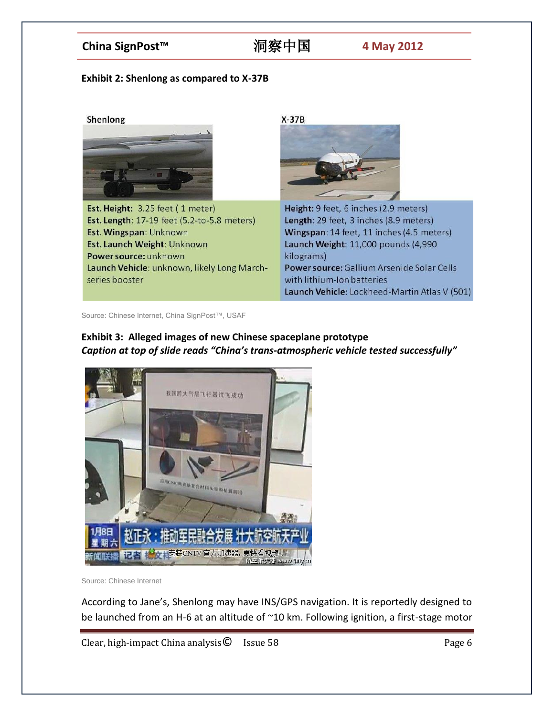### **Exhibit 2: Shenlong as compared to X-37B**



Source: Chinese Internet, China SignPost™, USAF

## **Exhibit 3: Alleged images of new Chinese spaceplane prototype** *Caption at top of slide reads "China's trans-atmospheric vehicle tested successfully"*



Source: Chinese Internet

According to Jane's, Shenlong may have INS/GPS navigation. It is reportedly designed to be launched from an H-6 at an altitude of ~10 km. Following ignition, a first-stage motor

Clear, high-impact China analysis© Issue 58 Page 6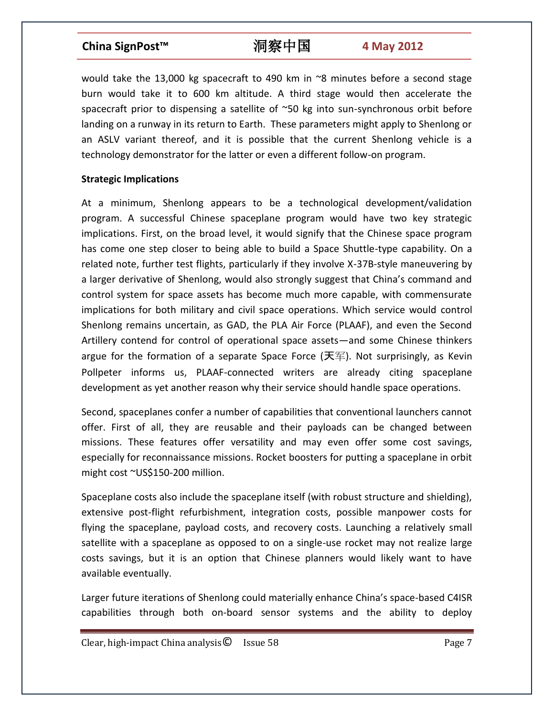would take the 13,000 kg spacecraft to 490 km in  $\degree$ 8 minutes before a second stage burn would take it to 600 km altitude. A third stage would then accelerate the spacecraft prior to dispensing a satellite of ~50 kg into sun-synchronous orbit before landing on a runway in its return to Earth. These parameters might apply to Shenlong or an ASLV variant thereof, and it is possible that the current Shenlong vehicle is a technology demonstrator for the latter or even a different follow-on program.

### **Strategic Implications**

At a minimum, Shenlong appears to be a technological development/validation program. A successful Chinese spaceplane program would have two key strategic implications. First, on the broad level, it would signify that the Chinese space program has come one step closer to being able to build a Space Shuttle-type capability. On a related note, further test flights, particularly if they involve X-37B-style maneuvering by a larger derivative of Shenlong, would also strongly suggest that China's command and control system for space assets has become much more capable, with commensurate implications for both military and civil space operations. Which service would control Shenlong remains uncertain, as GAD, the PLA Air Force (PLAAF), and even the Second Artillery contend for control of operational space assets—and some Chinese thinkers argue for the formation of a separate Space Force (天军). Not surprisingly, as Kevin Pollpeter informs us, PLAAF-connected writers are already citing spaceplane development as yet another reason why their service should handle space operations.

Second, spaceplanes confer a number of capabilities that conventional launchers cannot offer. First of all, they are reusable and their payloads can be changed between missions. These features offer versatility and may even offer some cost savings, especially for reconnaissance missions. Rocket boosters for putting a spaceplane in orbit might cost ~US\$150-200 million.

Spaceplane costs also include the spaceplane itself (with robust structure and shielding), extensive post-flight refurbishment, integration costs, possible manpower costs for flying the spaceplane, payload costs, and recovery costs. Launching a relatively small satellite with a spaceplane as opposed to on a single-use rocket may not realize large costs savings, but it is an option that Chinese planners would likely want to have available eventually.

Larger future iterations of Shenlong could materially enhance China's space-based C4ISR capabilities through both on-board sensor systems and the ability to deploy

 $Clear, high-impact China analysis  $\odot$  Issue 58 Page 7 Page 7$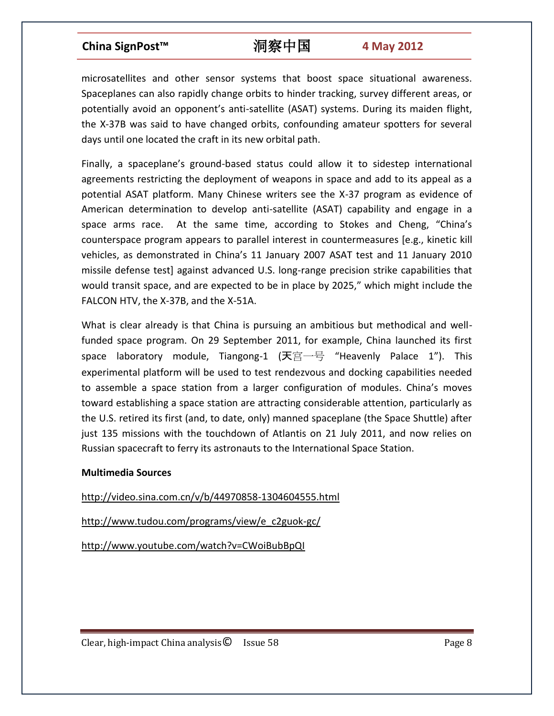microsatellites and other sensor systems that boost space situational awareness. Spaceplanes can also rapidly change orbits to hinder tracking, survey different areas, or potentially avoid an opponent's anti-satellite (ASAT) systems. During its maiden flight, the X-37B was said to have changed orbits, confounding amateur spotters for several days until one located the craft in its new orbital path.

Finally, a spaceplane's ground-based status could allow it to sidestep international agreements restricting the deployment of weapons in space and add to its appeal as a potential ASAT platform. Many Chinese writers see the X-37 program as evidence of American determination to develop anti-satellite (ASAT) capability and engage in a space arms race. At the same time, according to Stokes and Cheng, "China's counterspace program appears to parallel interest in countermeasures [e.g., kinetic kill vehicles, as demonstrated in China's 11 January 2007 ASAT test and 11 January 2010 missile defense test] against advanced U.S. long-range precision strike capabilities that would transit space, and are expected to be in place by 2025," which might include the FALCON HTV, the X-37B, and the X-51A.

What is clear already is that China is pursuing an ambitious but methodical and wellfunded space program. On 29 September 2011, for example, China launched its first space laboratory module, Tiangong-1 (天宫一号 "Heavenly Palace 1"). This experimental platform will be used to test rendezvous and docking capabilities needed to assemble a space station from a larger configuration of modules. China's moves toward establishing a space station are attracting considerable attention, particularly as the U.S. retired its first (and, to date, only) manned spaceplane (the Space Shuttle) after just 135 missions with the touchdown of Atlantis on 21 July 2011, and now relies on Russian spacecraft to ferry its astronauts to the International Space Station.

### **Multimedia Sources**

http://video.sina.com.cn/v/b/44970858-1304604555.html

http://www.tudou.com/programs/view/e\_c2guok-gc/

http://www.youtube.com/watch?v=CWoiBubBpQI